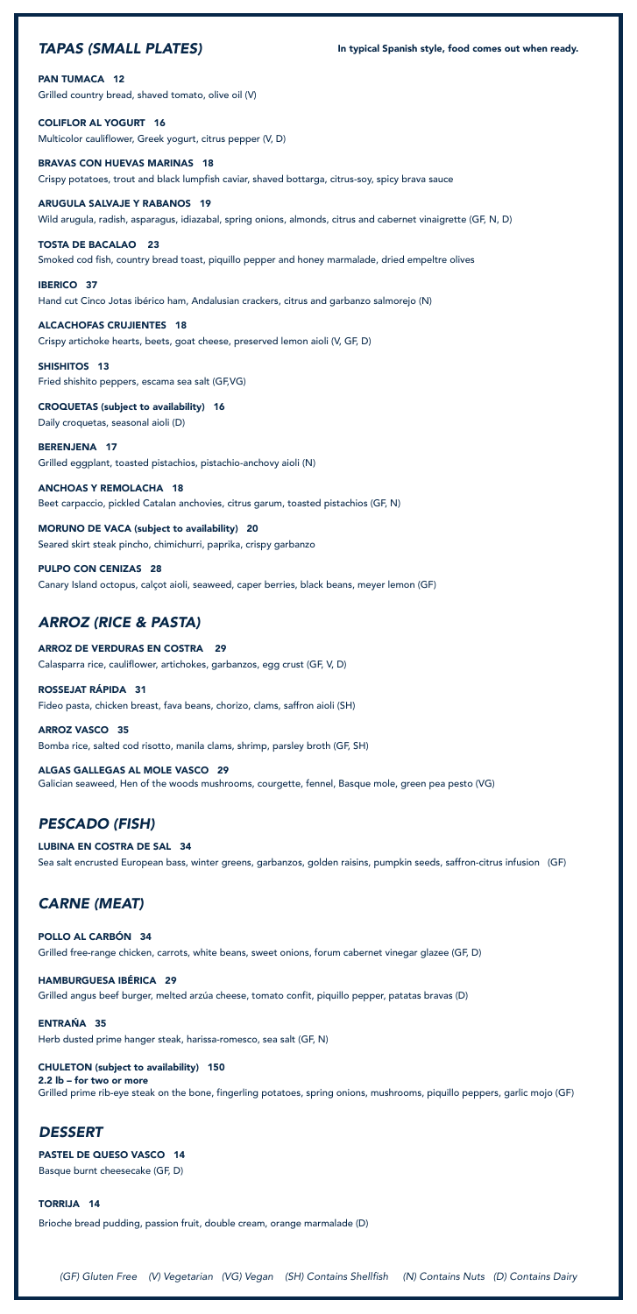### *TAPAS (SMALL PLATES)*

PAN TUMACA 12

Grilled country bread, shaved tomato, olive oil (V)

COLIFLOR AL YOGURT 16 Multicolor cauliflower, Greek yogurt, citrus pepper (V, D)

BRAVAS CON HUEVAS MARINAS 18 Crispy potatoes, trout and black lumpfish caviar, shaved bottarga, citrus-soy, spicy brava sauce

ARUGULA SALVAJE Y RABANOS 19 Wild arugula, radish, asparagus, idiazabal, spring onions, almonds, citrus and cabernet vinaigrette (GF, N, D)

SHISHITOS 13 Fried shishito peppers, escama sea salt (GF,VG)

TOSTA DE BACALAO 23 Smoked cod fish, country bread toast, piquillo pepper and honey marmalade, dried empeltre olives

IBERICO 37 Hand cut Cinco Jotas ibérico ham, Andalusian crackers, citrus and garbanzo salmorejo (N)

ALCACHOFAS CRUJIENTES 18 Crispy artichoke hearts, beets, goat cheese, preserved lemon aioli (V, GF, D)

CROQUETAS (subject to availability) 16 Daily croquetas, seasonal aioli (D)

BERENJENA 17 Grilled eggplant, toasted pistachios, pistachio-anchovy aioli (N)

ANCHOAS Y REMOLACHA 18 Beet carpaccio, pickled Catalan anchovies, citrus garum, toasted pistachios (GF, N)

MORUNO DE VACA (subject to availability) 20 Seared skirt steak pincho, chimichurri, paprika, crispy garbanzo

PULPO CON CENIZAS 28 Canary Island octopus, calçot aioli, seaweed, caper berries, black beans, meyer lemon (GF)

*(GF) Gluten Free (V) Vegetarian (VG) Vegan (SH) Contains Shellfish (N) Contains Nuts (D) Contains Dairy*

# *ARROZ (RICE & PASTA)*

ARROZ DE VERDURAS EN COSTRA 29 Calasparra rice, cauliflower, artichokes, garbanzos, egg crust (GF, V, D)

ROSSEJAT RÁPIDA 31 Fideo pasta, chicken breast, fava beans, chorizo, clams, saffron aioli (SH)

ARROZ VASCO 35 Bomba rice, salted cod risotto, manila clams, shrimp, parsley broth (GF, SH)

ALGAS GALLEGAS AL MOLE VASCO 29 Galician seaweed, Hen of the woods mushrooms, courgette, fennel, Basque mole, green pea pesto (VG)

# *PESCADO (FISH)*

LUBINA EN COSTRA DE SAL 34 Sea salt encrusted European bass, winter greens, garbanzos, golden raisins, pumpkin seeds, saffron-citrus infusion (GF)

# *CARNE (MEAT)*

#### POLLO AL CARBON 34

Grilled free-range chicken, carrots, white beans, sweet onions, forum cabernet vinegar glazee (GF, D)

#### HAMBURGUESA IBÉRICA 29

Grilled angus beef burger, melted arzúa cheese, tomato confit, piquillo pepper, patatas bravas (D)

#### ENTRAŃA 35

Herb dusted prime hanger steak, harissa-romesco, sea salt (GF, N)

#### CHULETON (subject to availability) 150

2.2 lb – for two or more Grilled prime rib-eye steak on the bone, fingerling potatoes, spring onions, mushrooms, piquillo peppers, garlic mojo (GF)

### *DESSERT*

#### PASTEL DE QUESO VASCO 14

Basque burnt cheesecake (GF, D)

#### TORRIJA 14

Brioche bread pudding, passion fruit, double cream, orange marmalade (D)

In typical Spanish style, food comes out when ready.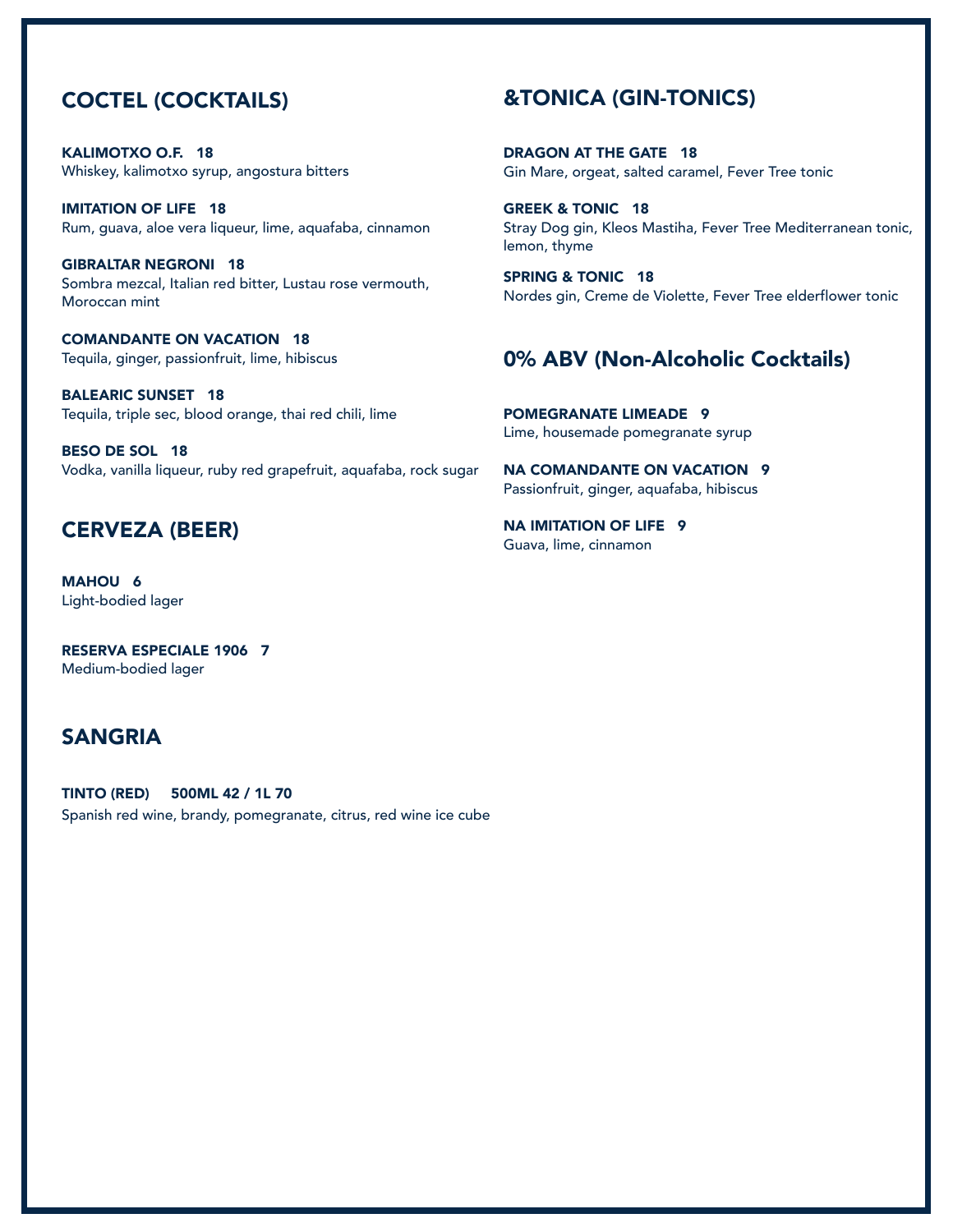## COCTEL (COCKTAILS)

KALIMOTXO O.F. 18 Whiskey, kalimotxo syrup, angostura bitters

IMITATION OF LIFE 18 Rum, guava, aloe vera liqueur, lime, aquafaba, cinnamon

GIBRALTAR NEGRONI 18 Sombra mezcal, Italian red bitter, Lustau rose vermouth, Moroccan mint

COMANDANTE ON VACATION 18 Tequila, ginger, passionfruit, lime, hibiscus

BALEARIC SUNSET 18 Tequila, triple sec, blood orange, thai red chili, lime

BESO DE SOL 18 Vodka, vanilla liqueur, ruby red grapefruit, aquafaba, rock sugar

### CERVEZA (BEER)

MAHOU 6 Light-bodied lager

RESERVA ESPECIALE 1906 7 Medium-bodied lager

## SANGRIA

TINTO (RED) 500ML 42 / 1L 70 Spanish red wine, brandy, pomegranate, citrus, red wine ice cube

## &TONICA (GIN-TONICS)

DRAGON AT THE GATE 18 Gin Mare, orgeat, salted caramel, Fever Tree tonic

GREEK & TONIC 18 Stray Dog gin, Kleos Mastiha, Fever Tree Mediterranean tonic, lemon, thyme

SPRING & TONIC 18 Nordes gin, Creme de Violette, Fever Tree elderflower tonic

## 0% ABV (Non-Alcoholic Cocktails)

POMEGRANATE LIMEADE 9 Lime, housemade pomegranate syrup

NA COMANDANTE ON VACATION 9 Passionfruit, ginger, aquafaba, hibiscus

NA IMITATION OF LIFE 9 Guava, lime, cinnamon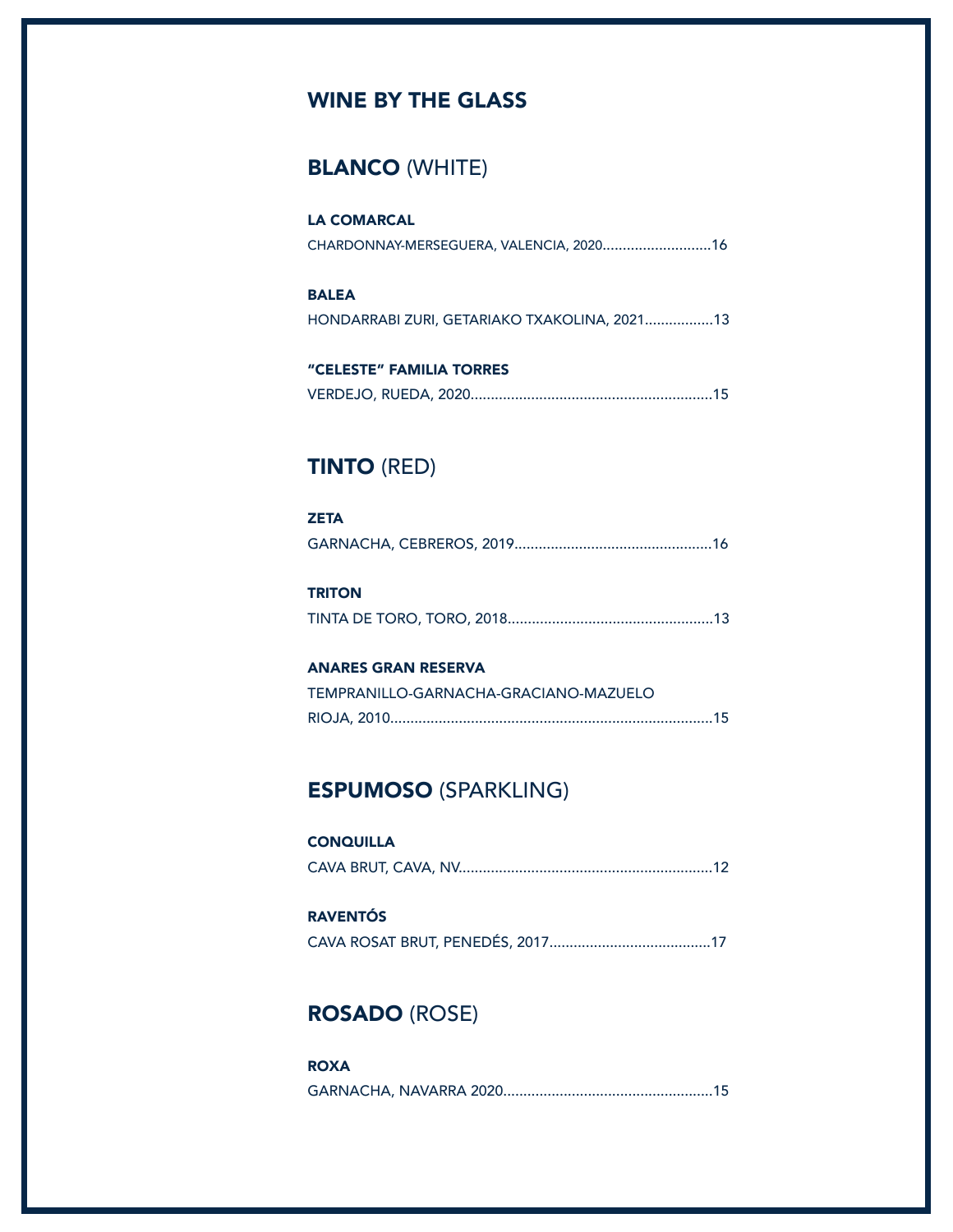# WINE BY THE GLASS

## BLANCO (WHITE)

| <b>LA COMARCAL</b>                      |  |
|-----------------------------------------|--|
| CHARDONNAY-MERSEGUERA, VALENCIA, 202016 |  |

## BALEA HONDARRABI ZURI, GETARIAKO TXAKOLINA, 2021.................13

| "CELESTE" FAMILIA TORRES |  |
|--------------------------|--|
|                          |  |

## TINTO (RED)

| <b>ZETA</b> |  |
|-------------|--|
|             |  |

| <b>TRITON</b> |  |
|---------------|--|
|               |  |

#### ANARES GRAN RESERVA

| TEMPRANILLO-GARNACHA-GRACIANO-MAZUELO |  |
|---------------------------------------|--|
|                                       |  |

## ESPUMOSO (SPARKLING)

### **CONQUILLA** CAVA BRUT, CAVA, NV...............................................................12

### RAVENTÓS CAVA ROSAT BRUT, PENEDÉS, 2017........................................17

# ROSADO (ROSE)

| <b>ROXA</b> |  |
|-------------|--|
|             |  |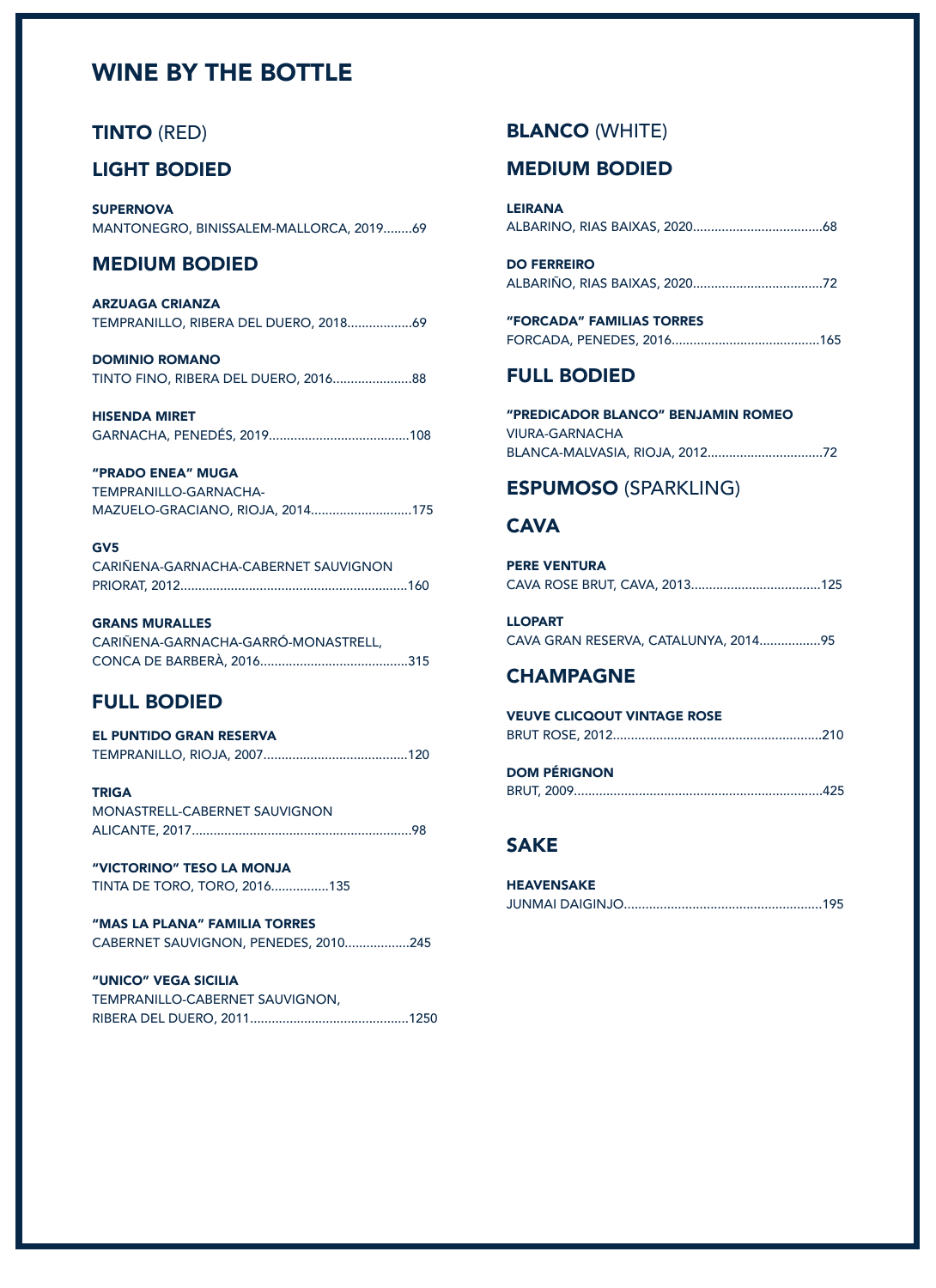# WINE BY THE BOTTLE

### TINTO (RED)

### LIGHT BODIED

**SUPERNOVA** MANTONEGRO, BINISSALEM-MALLORCA, 2019........69

### MEDIUM BODIED

ARZUAGA CRIANZA TEMPRANILLO, RIBERA DEL DUERO, 2018..................69

DOMINIO ROMANO TINTO FINO, RIBERA DEL DUERO, 2016......................88

HISENDA MIRET GARNACHA, PENEDÉS, 2019.......................................108

"PRADO ENEA" MUGA TEMPRANILLO-GARNACHA-MAZUELO-GRACIANO, RIOJA, 2014............................175

#### GV5

CARIÑENA-GARNACHA-CABERNET SAUVIGNON PRIORAT, 2012...............................................................160

GRANS MURALLES CARIÑENA-GARNACHA-GARRÓ-MONASTRELL, CONCA DE BARBERÀ, 2016.........................................315

### FULL BODIED

| <b>EL PUNTIDO GRAN RESERVA</b> |  |
|--------------------------------|--|
|                                |  |

TRIGA MONASTRELL-CABERNET SAUVIGNON ALICANTE, 2017.............................................................98

"VICTORINO" TESO LA MONJA TINTA DE TORO, TORO, 2016................135

"MAS LA PLANA" FAMILIA TORRES CABERNET SAUVIGNON, PENEDES, 2010..................245

"UNICO" VEGA SICILIA TEMPRANILLO-CABERNET SAUVIGNON, RIBERA DEL DUERO, 2011............................................1250

### BLANCO (WHITE)

#### MEDIUM BODIED

| LEIRANA |  |  |
|---------|--|--|
|         |  |  |

| <b>DO FERREIRO</b> |  |
|--------------------|--|
|                    |  |

| "FORCADA" FAMILIAS TORRES |  |
|---------------------------|--|
|                           |  |

#### FULL BODIED

"PREDICADOR BLANCO" BENJAMIN ROMEO VIURA-GARNACHA BLANCA-MALVASIA, RIOJA, 2012................................72

### ESPUMOSO (SPARKLING)

### **CAVA**

| <b>PERE VENTURA</b> |  |
|---------------------|--|
|                     |  |

LLOPART CAVA GRAN RESERVA, CATALUNYA, 2014.................95

#### CHAMPAGNE

VEUVE CLICQOUT VINTAGE ROSE BRUT ROSE, 2012..........................................................210

| <b>DOM PÉRIGNON</b> |  |
|---------------------|--|
|                     |  |

### SAKE

| <b>HEAVENSAKE</b> |  |
|-------------------|--|
|                   |  |